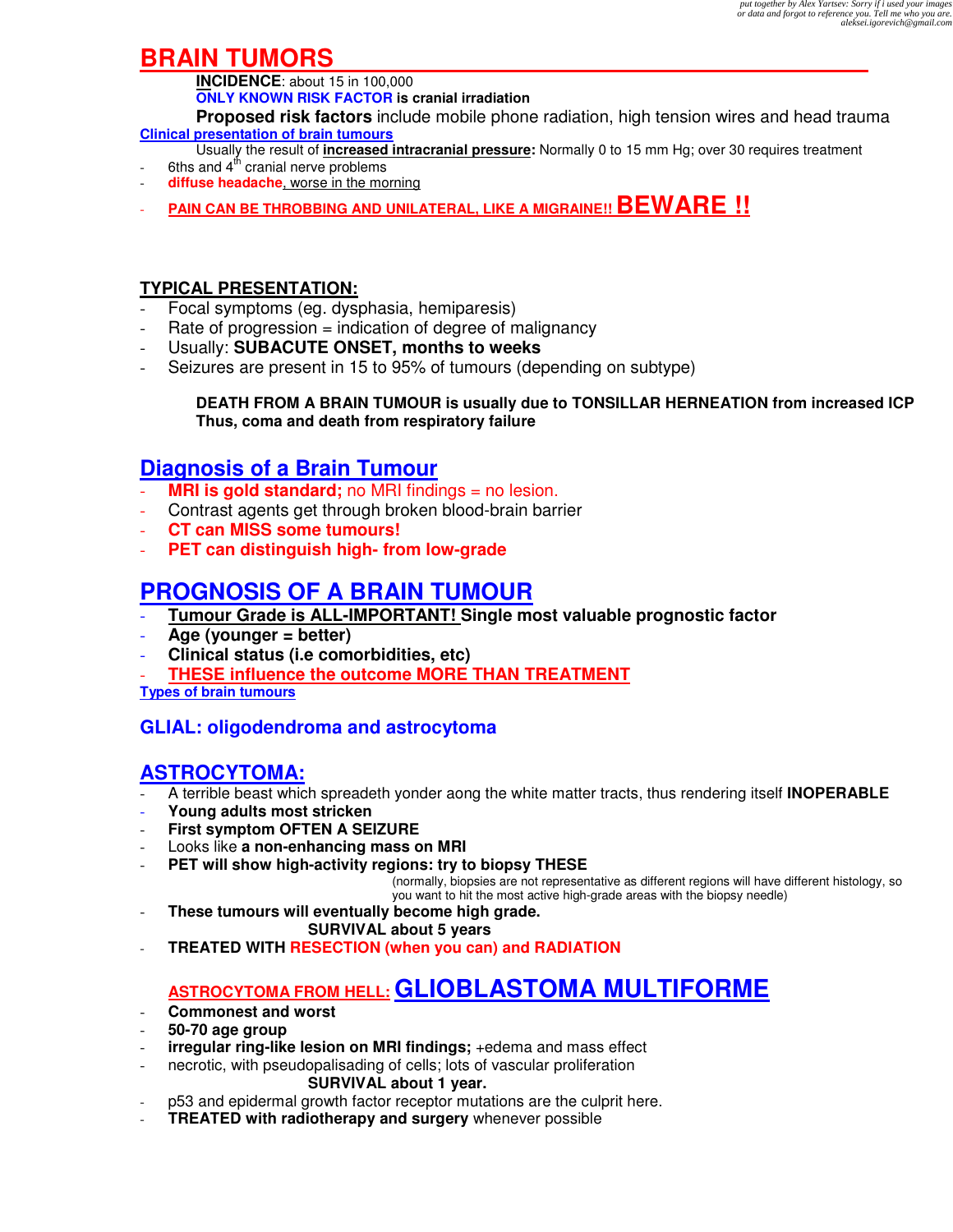# **BRAIN TUMORS**

**INCIDENCE**: about 15 in 100,000

**ONLY KNOWN RISK FACTOR is cranial irradiation** 

**Proposed risk factors** include mobile phone radiation, high tension wires and head trauma **Clinical presentation of brain tumours** 

- Usually the result of **increased intracranial pressure:** Normally 0 to 15 mm Hg; over 30 requires treatment
- 6ths and  $4<sup>th</sup>$  cranial nerve problems
- diffuse headache, worse in the morning
- **PAIN CAN BE THROBBING AND UNILATERAL, LIKE A MIGRAINE!! BEWARE !!**

### **TYPICAL PRESENTATION:**

- Focal symptoms (eg. dysphasia, hemiparesis)
- $Rate of progression = indication of degree of malignancy$
- Usually: **SUBACUTE ONSET, months to weeks**
- Seizures are present in 15 to 95% of tumours (depending on subtype)

#### **DEATH FROM A BRAIN TUMOUR is usually due to TONSILLAR HERNEATION from increased ICP Thus, coma and death from respiratory failure**

## **Diagnosis of a Brain Tumour**

- **MRI is gold standard;** no MRI findings = no lesion.
- Contrast agents get through broken blood-brain barrier
- **CT can MISS some tumours!**
- **PET can distinguish high- from low-grade**

# **PROGNOSIS OF A BRAIN TUMOUR**

- **Tumour Grade is ALL-IMPORTANT! Single most valuable prognostic factor**
- **Age (younger = better)**
- **Clinical status (i.e comorbidities, etc)**
- **THESE influence the outcome MORE THAN TREATMENT**

**Types of brain tumours** 

### **GLIAL: oligodendroma and astrocytoma**

### **ASTROCYTOMA:**

- A terrible beast which spreadeth yonder aong the white matter tracts, thus rendering itself **INOPERABLE**
- **Young adults most stricken**
- **First symptom OFTEN A SEIZURE**
- Looks like **a non-enhancing mass on MRI**
- **PET will show high-activity regions: try to biopsy THESE**

(normally, biopsies are not representative as different regions will have different histology, so you want to hit the most active high-grade areas with the biopsy needle)

- **These tumours will eventually become high grade.** 

#### **SURVIVAL about 5 years**

- **TREATED WITH RESECTION (when you can) and RADIATION**

# **ASTROCYTOMA FROM HELL: GLIOBLASTOMA MULTIFORME**

- **Commonest and worst**
- **50-70 age group**
- **irregular ring-like lesion on MRI findings;** +edema and mass effect
- necrotic, with pseudopalisading of cells; lots of vascular proliferation **SURVIVAL about 1 year.**
- p53 and epidermal growth factor receptor mutations are the culprit here.
- **TREATED with radiotherapy and surgery** whenever possible